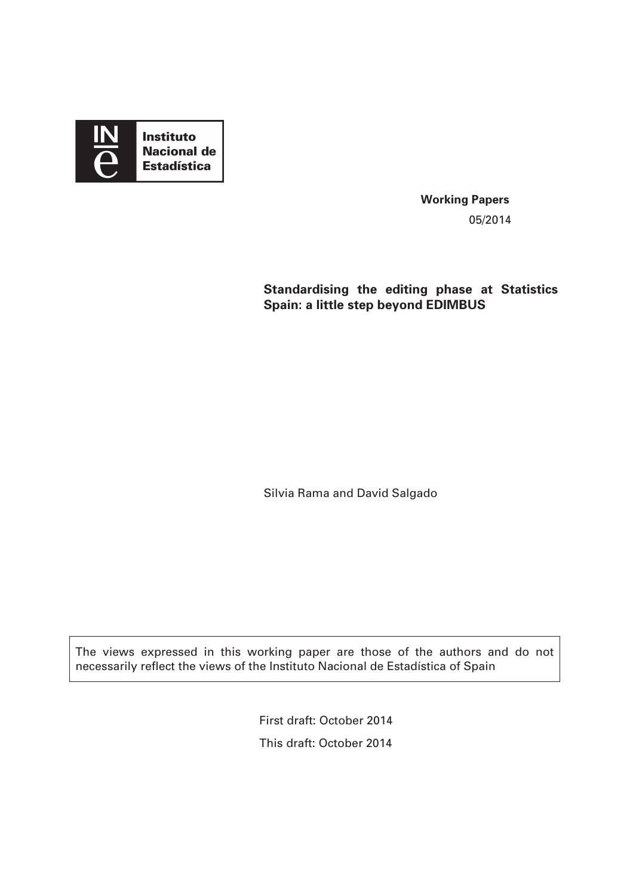

**Working Papers**  05/2014

**Standardising the editing phase at Statistics Spain: a little step beyond EDIMBUS** 

Silvia Rama and David Salgado

The views expressed in this working paper are those of the authors and do not necessarily reflect the views of the Instituto Nacional de Estadística of Spain

> First draft: October 2014 This draft: October 2014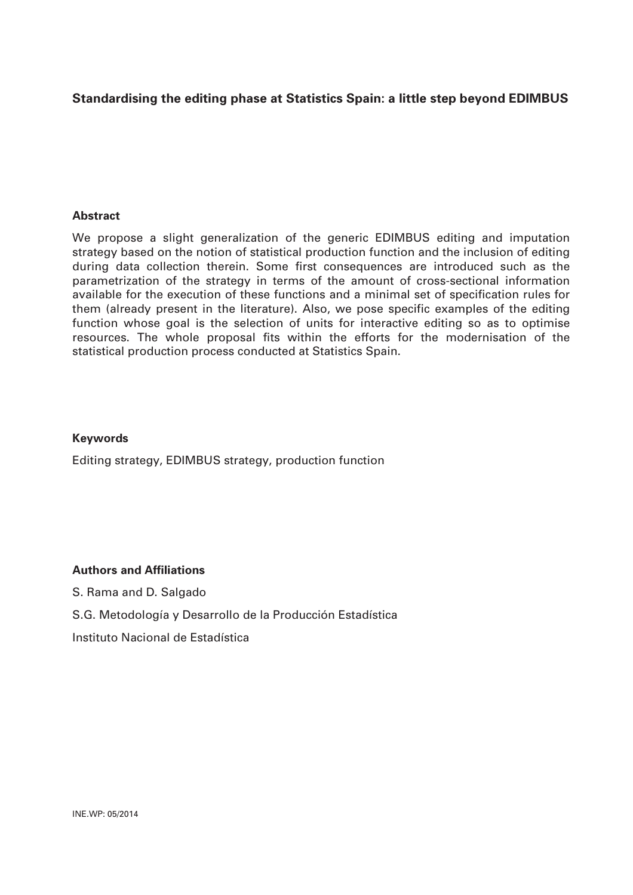# **Standardising the editing phase at Statistics Spain: a little step beyond EDIMBUS**

#### **Abstract**

We propose a slight generalization of the generic EDIMBUS editing and imputation strategy based on the notion of statistical production function and the inclusion of editing during data collection therein. Some first consequences are introduced such as the parametrization of the strategy in terms of the amount of cross-sectional information available for the execution of these functions and a minimal set of specification rules for them (already present in the literature). Also, we pose specific examples of the editing function whose goal is the selection of units for interactive editing so as to optimise resources. The whole proposal fits within the efforts for the modernisation of the statistical production process conducted at Statistics Spain.

#### **Keywords**

Editing strategy, EDIMBUS strategy, production function

#### **Authors and Affiliations**

S. Rama and D. Salgado

S.G. Metodología y Desarrollo de la Producción Estadística

Instituto Nacional de Estadística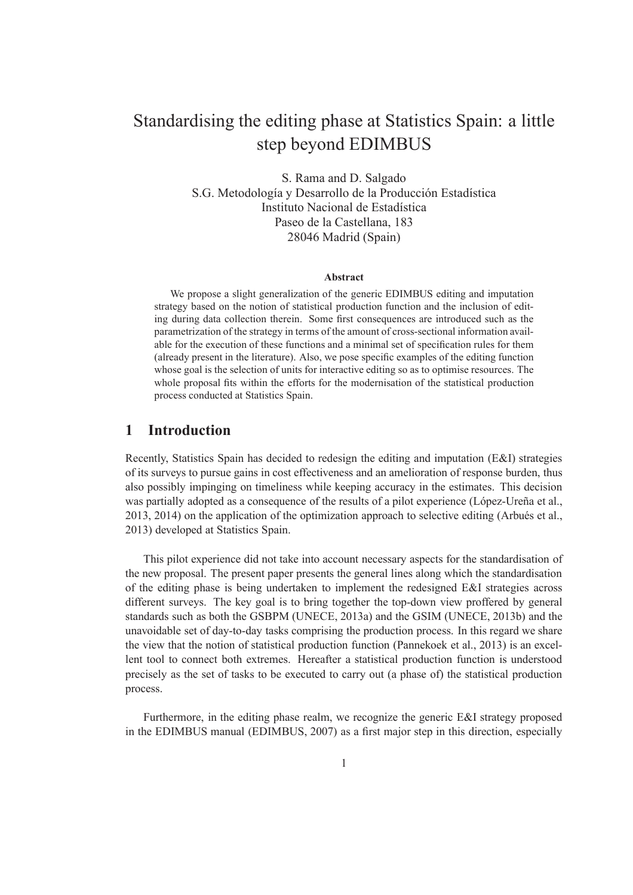# Standardising the editing phase at Statistics Spain: a little step beyond EDIMBUS

S. Rama and D. Salgado S.G. Metodología y Desarrollo de la Producción Estadística Instituto Nacional de Estadística Paseo de la Castellana, 183 28046 Madrid (Spain)

#### **Abstract**

We propose a slight generalization of the generic EDIMBUS editing and imputation strategy based on the notion of statistical production function and the inclusion of editing during data collection therein. Some first consequences are introduced such as the parametrization of the strategy in terms of the amount of cross-sectional information available for the execution of these functions and a minimal set of specification rules for them (already present in the literature). Also, we pose specific examples of the editing function whose goal is the selection of units for interactive editing so as to optimise resources. The whole proposal fits within the efforts for the modernisation of the statistical production process conducted at Statistics Spain.

## **1 Introduction**

Recently, Statistics Spain has decided to redesign the editing and imputation (E&I) strategies of its surveys to pursue gains in cost effectiveness and an amelioration of response burden, thus also possibly impinging on timeliness while keeping accuracy in the estimates. This decision was partially adopted as a consequence of the results of a pilot experience (López-Ureña et al.,  $2013, 2014$ ) on the application of the optimization approach to selective editing (Arbués et al., 2013) developed at Statistics Spain.

This pilot experience did not take into account necessary aspects for the standardisation of the new proposal. The present paper presents the general lines along which the standardisation of the editing phase is being undertaken to implement the redesigned E&I strategies across different surveys. The key goal is to bring together the top-down view proffered by general standards such as both the GSBPM (UNECE, 2013a) and the GSIM (UNECE, 2013b) and the unavoidable set of day-to-day tasks comprising the production process. In this regard we share the view that the notion of statistical production function (Pannekoek et al., 2013) is an excellent tool to connect both extremes. Hereafter a statistical production function is understood precisely as the set of tasks to be executed to carry out (a phase of) the statistical production process.

Furthermore, in the editing phase realm, we recognize the generic E&I strategy proposed in the EDIMBUS manual (EDIMBUS, 2007) as a first major step in this direction, especially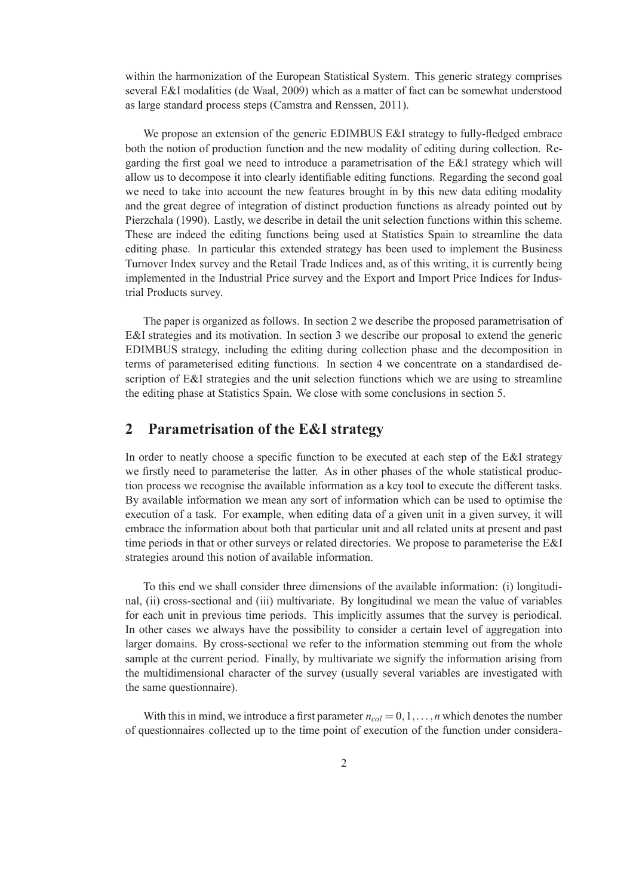within the harmonization of the European Statistical System. This generic strategy comprises several E&I modalities (de Waal, 2009) which as a matter of fact can be somewhat understood as large standard process steps (Camstra and Renssen, 2011).

We propose an extension of the generic EDIMBUS E&I strategy to fully-fledged embrace both the notion of production function and the new modality of editing during collection. Regarding the first goal we need to introduce a parametrisation of the E&I strategy which will allow us to decompose it into clearly identifiable editing functions. Regarding the second goal we need to take into account the new features brought in by this new data editing modality and the great degree of integration of distinct production functions as already pointed out by Pierzchala (1990). Lastly, we describe in detail the unit selection functions within this scheme. These are indeed the editing functions being used at Statistics Spain to streamline the data editing phase. In particular this extended strategy has been used to implement the Business Turnover Index survey and the Retail Trade Indices and, as of this writing, it is currently being implemented in the Industrial Price survey and the Export and Import Price Indices for Industrial Products survey.

The paper is organized as follows. In section 2 we describe the proposed parametrisation of E&I strategies and its motivation. In section 3 we describe our proposal to extend the generic EDIMBUS strategy, including the editing during collection phase and the decomposition in terms of parameterised editing functions. In section 4 we concentrate on a standardised description of E&I strategies and the unit selection functions which we are using to streamline the editing phase at Statistics Spain. We close with some conclusions in section 5.

## **2 Parametrisation of the E&I strategy**

In order to neatly choose a specific function to be executed at each step of the E&I strategy we firstly need to parameterise the latter. As in other phases of the whole statistical production process we recognise the available information as a key tool to execute the different tasks. By available information we mean any sort of information which can be used to optimise the execution of a task. For example, when editing data of a given unit in a given survey, it will embrace the information about both that particular unit and all related units at present and past time periods in that or other surveys or related directories. We propose to parameterise the E&I strategies around this notion of available information.

To this end we shall consider three dimensions of the available information: (i) longitudinal, (ii) cross-sectional and (iii) multivariate. By longitudinal we mean the value of variables for each unit in previous time periods. This implicitly assumes that the survey is periodical. In other cases we always have the possibility to consider a certain level of aggregation into larger domains. By cross-sectional we refer to the information stemming out from the whole sample at the current period. Finally, by multivariate we signify the information arising from the multidimensional character of the survey (usually several variables are investigated with the same questionnaire).

With this in mind, we introduce a first parameter  $n_{col} = 0, 1, \ldots, n$  which denotes the number of questionnaires collected up to the time point of execution of the function under considera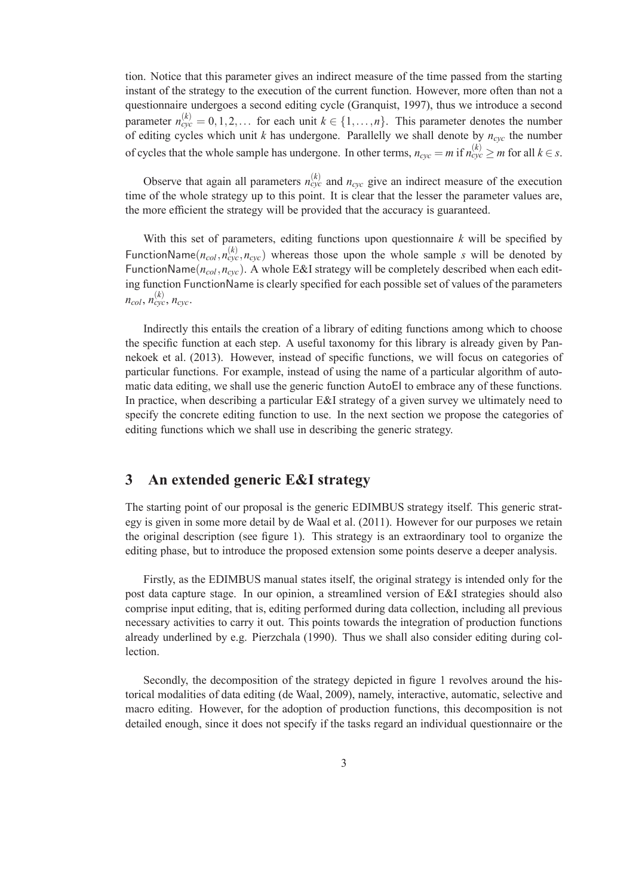tion. Notice that this parameter gives an indirect measure of the time passed from the starting instant of the strategy to the execution of the current function. However, more often than not a questionnaire undergoes a second editing cycle (Granquist, 1997), thus we introduce a second parameter  $n_{\text{cyc}}^{(k)} = 0, 1, 2, \ldots$  for each unit  $k \in \{1, \ldots, n\}$ . This parameter denotes the number of editing cycles which unit *k* has undergone. Parallelly we shall denote by *ncyc* the number of cycles that the whole sample has undergone. In other terms,  $n_{cyc} = m$  if  $n_{cyc}^{(k)} \ge m$  for all  $k \in s$ .

Observe that again all parameters  $n_{cyc}^{(k)}$  and  $n_{cyc}$  give an indirect measure of the execution time of the whole strategy up to this point. It is clear that the lesser the parameter values are, the more efficient the strategy will be provided that the accuracy is guaranteed.

With this set of parameters, editing functions upon questionnaire *k* will be specified by FunctionName( $n_{col}$ , $n_{cyc}^{(k)}$ , $n_{cyc}$ ) whereas those upon the whole sample *s* will be denoted by FunctionName(*ncol* ,*ncyc*). A whole E&I strategy will be completely described when each editing function FunctionName is clearly specified for each possible set of values of the parameters  $n_{col}$ ,  $n_{cyc}^{(k)}$ ,  $n_{cyc}$ .

Indirectly this entails the creation of a library of editing functions among which to choose the specific function at each step. A useful taxonomy for this library is already given by Pannekoek et al. (2013). However, instead of specific functions, we will focus on categories of particular functions. For example, instead of using the name of a particular algorithm of automatic data editing, we shall use the generic function AutoEI to embrace any of these functions. In practice, when describing a particular E&I strategy of a given survey we ultimately need to specify the concrete editing function to use. In the next section we propose the categories of editing functions which we shall use in describing the generic strategy.

## **3 An extended generic E&I strategy**

The starting point of our proposal is the generic EDIMBUS strategy itself. This generic strategy is given in some more detail by de Waal et al. (2011). However for our purposes we retain the original description (see figure 1). This strategy is an extraordinary tool to organize the editing phase, but to introduce the proposed extension some points deserve a deeper analysis.

Firstly, as the EDIMBUS manual states itself, the original strategy is intended only for the post data capture stage. In our opinion, a streamlined version of E&I strategies should also comprise input editing, that is, editing performed during data collection, including all previous necessary activities to carry it out. This points towards the integration of production functions already underlined by e.g. Pierzchala (1990). Thus we shall also consider editing during collection.

Secondly, the decomposition of the strategy depicted in figure 1 revolves around the historical modalities of data editing (de Waal, 2009), namely, interactive, automatic, selective and macro editing. However, for the adoption of production functions, this decomposition is not detailed enough, since it does not specify if the tasks regard an individual questionnaire or the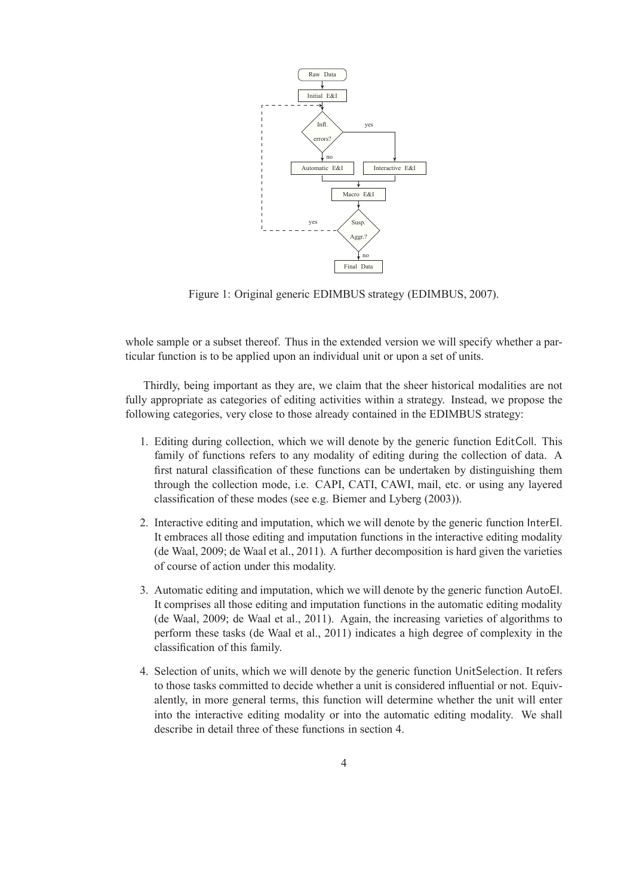

Figure 1: Original generic EDIMBUS strategy (EDIMBUS, 2007).

whole sample or a subset thereof. Thus in the extended version we will specify whether a particular function is to be applied upon an individual unit or upon a set of units.

Thirdly, being important as they are, we claim that the sheer historical modalities are not fully appropriate as categories of editing activities within a strategy. Instead, we propose the following categories, very close to those already contained in the EDIMBUS strategy:

- 1. Editing during collection, which we will denote by the generic function EditColl. This family of functions refers to any modality of editing during the collection of data. A first natural classification of these functions can be undertaken by distinguishing them through the collection mode, i.e. CAPI, CATI, CAWI, mail, etc. or using any layered classification of these modes (see e.g. Biemer and Lyberg (2003)).
- 2. Interactive editing and imputation, which we will denote by the generic function InterEI. It embraces all those editing and imputation functions in the interactive editing modality (de Waal, 2009; de Waal et al., 2011). A further decomposition is hard given the varieties of course of action under this modality.
- 3. Automatic editing and imputation, which we will denote by the generic function AutoEI. It comprises all those editing and imputation functions in the automatic editing modality (de Waal, 2009; de Waal et al., 2011). Again, the increasing varieties of algorithms to perform these tasks (de Waal et al., 2011) indicates a high degree of complexity in the classification of this family.
- 4. Selection of units, which we will denote by the generic function UnitSelection. It refers to those tasks committed to decide whether a unit is considered influential or not. Equivalently, in more general terms, this function will determine whether the unit will enter into the interactive editing modality or into the automatic editing modality. We shall describe in detail three of these functions in section 4.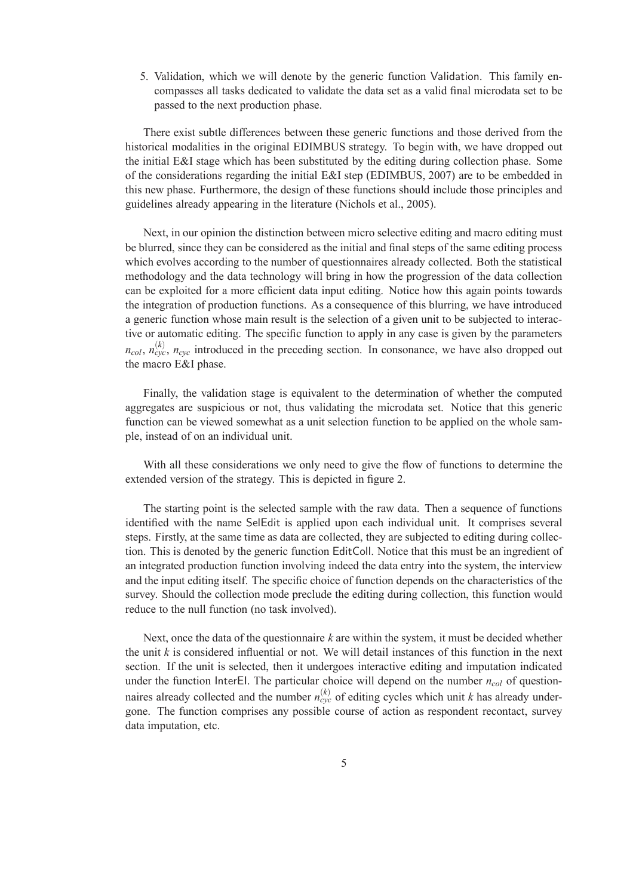5. Validation, which we will denote by the generic function Validation. This family encompasses all tasks dedicated to validate the data set as a valid final microdata set to be passed to the next production phase.

There exist subtle differences between these generic functions and those derived from the historical modalities in the original EDIMBUS strategy. To begin with, we have dropped out the initial E&I stage which has been substituted by the editing during collection phase. Some of the considerations regarding the initial E&I step (EDIMBUS, 2007) are to be embedded in this new phase. Furthermore, the design of these functions should include those principles and guidelines already appearing in the literature (Nichols et al., 2005).

Next, in our opinion the distinction between micro selective editing and macro editing must be blurred, since they can be considered as the initial and final steps of the same editing process which evolves according to the number of questionnaires already collected. Both the statistical methodology and the data technology will bring in how the progression of the data collection can be exploited for a more efficient data input editing. Notice how this again points towards the integration of production functions. As a consequence of this blurring, we have introduced a generic function whose main result is the selection of a given unit to be subjected to interactive or automatic editing. The specific function to apply in any case is given by the parameters  $n_{col}$ ,  $n_{cyc}^{(k)}$ ,  $n_{cyc}$  introduced in the preceding section. In consonance, we have also dropped out the macro E&I phase.

Finally, the validation stage is equivalent to the determination of whether the computed aggregates are suspicious or not, thus validating the microdata set. Notice that this generic function can be viewed somewhat as a unit selection function to be applied on the whole sample, instead of on an individual unit.

With all these considerations we only need to give the flow of functions to determine the extended version of the strategy. This is depicted in figure 2.

The starting point is the selected sample with the raw data. Then a sequence of functions identified with the name SelEdit is applied upon each individual unit. It comprises several steps. Firstly, at the same time as data are collected, they are subjected to editing during collection. This is denoted by the generic function EditColl. Notice that this must be an ingredient of an integrated production function involving indeed the data entry into the system, the interview and the input editing itself. The specific choice of function depends on the characteristics of the survey. Should the collection mode preclude the editing during collection, this function would reduce to the null function (no task involved).

Next, once the data of the questionnaire *k* are within the system, it must be decided whether the unit *k* is considered influential or not. We will detail instances of this function in the next section. If the unit is selected, then it undergoes interactive editing and imputation indicated under the function InterEI. The particular choice will depend on the number *ncol* of questionnaires already collected and the number  $n_{\text{cyc}}^{(k)}$  of editing cycles which unit *k* has already undergone. The function comprises any possible course of action as respondent recontact, survey data imputation, etc.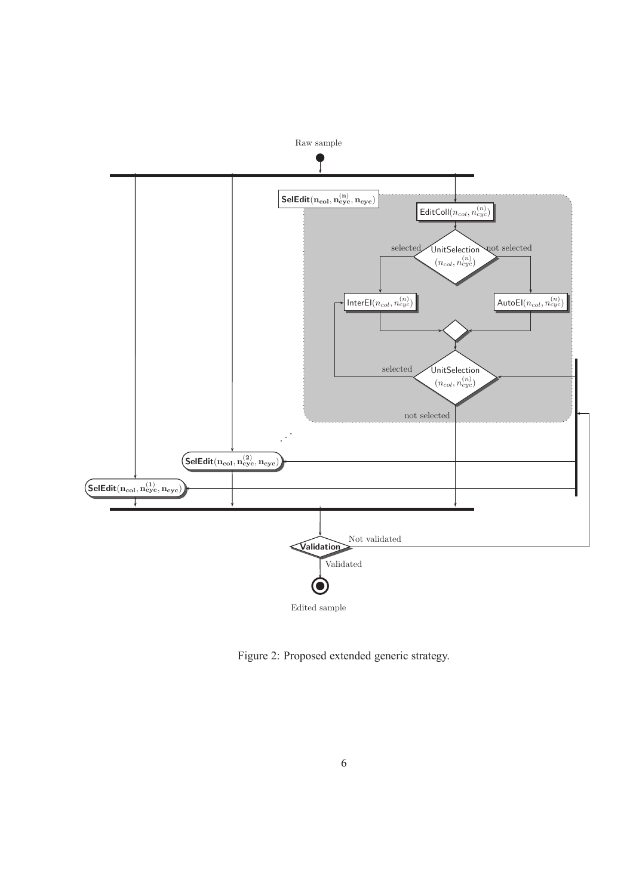

Figure 2: Proposed extended generic strategy.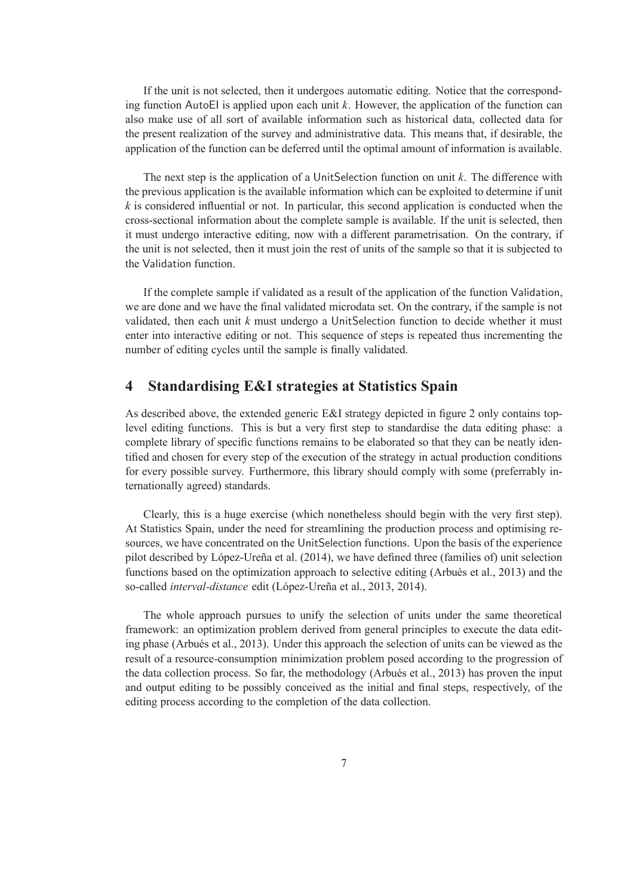If the unit is not selected, then it undergoes automatic editing. Notice that the corresponding function AutoEI is applied upon each unit *k*. However, the application of the function can also make use of all sort of available information such as historical data, collected data for the present realization of the survey and administrative data. This means that, if desirable, the application of the function can be deferred until the optimal amount of information is available.

The next step is the application of a UnitSelection function on unit *k*. The difference with the previous application is the available information which can be exploited to determine if unit *k* is considered influential or not. In particular, this second application is conducted when the cross-sectional information about the complete sample is available. If the unit is selected, then it must undergo interactive editing, now with a different parametrisation. On the contrary, if the unit is not selected, then it must join the rest of units of the sample so that it is subjected to the Validation function.

If the complete sample if validated as a result of the application of the function Validation, we are done and we have the final validated microdata set. On the contrary, if the sample is not validated, then each unit *k* must undergo a UnitSelection function to decide whether it must enter into interactive editing or not. This sequence of steps is repeated thus incrementing the number of editing cycles until the sample is finally validated.

# **4 Standardising E&I strategies at Statistics Spain**

As described above, the extended generic E&I strategy depicted in figure 2 only contains toplevel editing functions. This is but a very first step to standardise the data editing phase: a complete library of specific functions remains to be elaborated so that they can be neatly identified and chosen for every step of the execution of the strategy in actual production conditions for every possible survey. Furthermore, this library should comply with some (preferrably internationally agreed) standards.

Clearly, this is a huge exercise (which nonetheless should begin with the very first step). At Statistics Spain, under the need for streamlining the production process and optimising resources, we have concentrated on the UnitSelection functions. Upon the basis of the experience pilot described by López-Ureña et al.  $(2014)$ , we have defined three (families of) unit selection functions based on the optimization approach to selective editing (Arbués et al., 2013) and the so-called *interval-distance* edit (López-Ureña et al., 2013, 2014).

The whole approach pursues to unify the selection of units under the same theoretical framework: an optimization problem derived from general principles to execute the data editing phase (Arbués et al., 2013). Under this approach the selection of units can be viewed as the result of a resource-consumption minimization problem posed according to the progression of the data collection process. So far, the methodology (Arbués et al., 2013) has proven the input and output editing to be possibly conceived as the initial and final steps, respectively, of the editing process according to the completion of the data collection.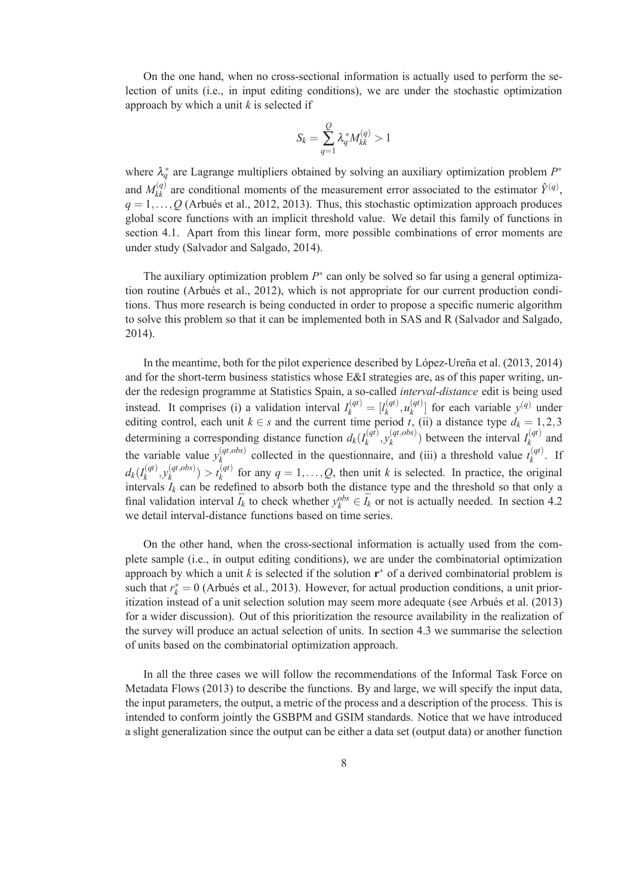On the one hand, when no cross-sectional information is actually used to perform the selection of units (i.e., in input editing conditions), we are under the stochastic optimization approach by which a unit *k* is selected if

$$
S_k = \sum_{q=1}^{Q} \lambda_q^* M_{kk}^{(q)} > 1
$$

where  $\lambda_q^*$  are Lagrange multipliers obtained by solving an auxiliary optimization problem  $P^*$ and  $M_{kk}^{(q)}$  are conditional moments of the measurement error associated to the estimator  $\hat{Y}^{(q)}$ ,  $q = 1, \ldots, Q$  (Arbués et al., 2012, 2013). Thus, this stochastic optimization approach produces global score functions with an implicit threshold value. We detail this family of functions in section 4.1. Apart from this linear form, more possible combinations of error moments are under study (Salvador and Salgado, 2014).

The auxiliary optimization problem  $P^*$  can only be solved so far using a general optimization routine (Arbués et al., 2012), which is not appropriate for our current production conditions. Thus more research is being conducted in order to propose a specific numeric algorithm to solve this problem so that it can be implemented both in SAS and R (Salvador and Salgado, 2014).

In the meantime, both for the pilot experience described by López-Ureña et al.  $(2013, 2014)$ and for the short-term business statistics whose E&I strategies are, as of this paper writing, under the redesign programme at Statistics Spain, a so-called *interval-distance* edit is being used instead. It comprises (i) a validation interval  $I_k^{(qt)} = [I_k^{(qt)}]$  $u_k^{(qt)}, u_k^{(qt)}$  $\binom{q(t)}{k}$  for each variable  $y^{(q)}$  under editing control, each unit  $k \in s$  and the current time period *t*, (ii) a distance type  $d_k = 1, 2, 3$ determining a corresponding distance function  $d_k(I_k^{(qt)})$  $\mathcal{Y}_k^{(qt)}, \mathcal{Y}_k^{(qt,obs)}$  $\binom{(qt,obs)}{k}$  between the interval  $I_k^{(qt)}$  $\binom{q}{k}$  and the variable value  $y_k^{(qt, obs)}$  $k$ <sup>(*qt,obs*)</sub> collected in the questionnaire, and (iii) a threshold value  $t_k^{(qt)}$ </sup>  $\int_k^{(q)}$ . If  $d_k(I_k^{(qt)})$  $\mathcal{Y}_k^{(qt)}, \mathcal{Y}_k^{(qt,obs)}$  $\binom{(qt,obs)}{k} > t_k^{(qt)}$  $f_k^{(q)}$  for any  $q = 1, \ldots, Q$ , then unit *k* is selected. In practice, the original intervals  $I_k$  can be redefined to absorb both the distance type and the threshold so that only a final validation interval  $\overline{I}_k$  to check whether  $y_k^{obs} \in \overline{I}_k$  or not is actually needed. In section 4.2 we detail interval-distance functions based on time series.

On the other hand, when the cross-sectional information is actually used from the complete sample (i.e., in output editing conditions), we are under the combinatorial optimization approach by which a unit  $k$  is selected if the solution  $\mathbf{r}^*$  of a derived combinatorial problem is such that  $r_k^* = 0$  (Arbués et al., 2013). However, for actual production conditions, a unit prioritization instead of a unit selection solution may seem more adequate (see Arbués et al. (2013) for a wider discussion). Out of this prioritization the resource availability in the realization of the survey will produce an actual selection of units. In section 4.3 we summarise the selection of units based on the combinatorial optimization approach.

In all the three cases we will follow the recommendations of the Informal Task Force on Metadata Flows (2013) to describe the functions. By and large, we will specify the input data, the input parameters, the output, a metric of the process and a description of the process. This is intended to conform jointly the GSBPM and GSIM standards. Notice that we have introduced a slight generalization since the output can be either a data set (output data) or another function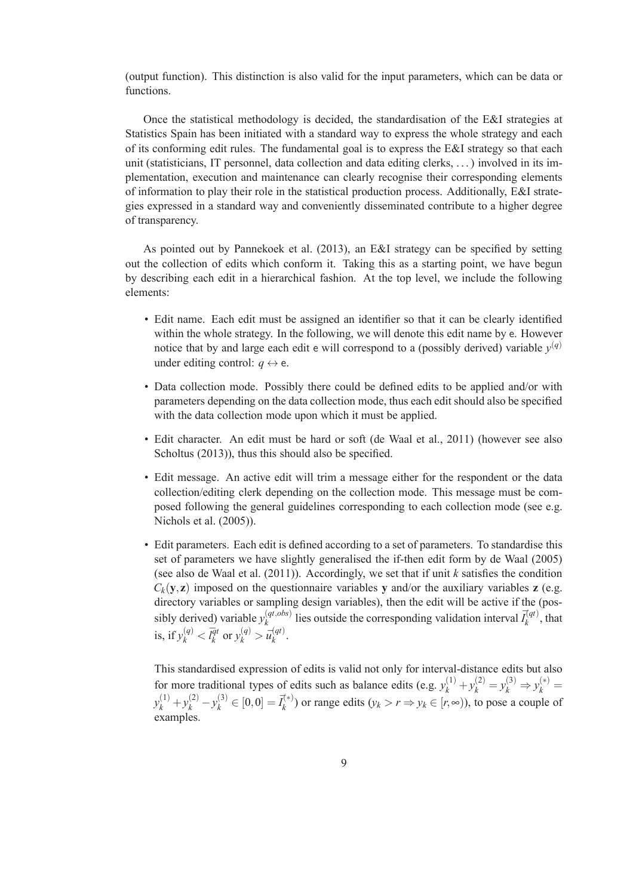(output function). This distinction is also valid for the input parameters, which can be data or functions.

Once the statistical methodology is decided, the standardisation of the E&I strategies at Statistics Spain has been initiated with a standard way to express the whole strategy and each of its conforming edit rules. The fundamental goal is to express the E&I strategy so that each unit (statisticians, IT personnel, data collection and data editing clerks, . . . ) involved in its implementation, execution and maintenance can clearly recognise their corresponding elements of information to play their role in the statistical production process. Additionally, E&I strategies expressed in a standard way and conveniently disseminated contribute to a higher degree of transparency.

As pointed out by Pannekoek et al. (2013), an E&I strategy can be specified by setting out the collection of edits which conform it. Taking this as a starting point, we have begun by describing each edit in a hierarchical fashion. At the top level, we include the following elements:

- Edit name. Each edit must be assigned an identifier so that it can be clearly identified within the whole strategy. In the following, we will denote this edit name by e. However notice that by and large each edit  $\epsilon$  will correspond to a (possibly derived) variable  $y^{(q)}$ under editing control:  $q \leftrightarrow e$ .
- Data collection mode. Possibly there could be defined edits to be applied and/or with parameters depending on the data collection mode, thus each edit should also be specified with the data collection mode upon which it must be applied.
- Edit character. An edit must be hard or soft (de Waal et al., 2011) (however see also Scholtus (2013)), thus this should also be specified.
- Edit message. An active edit will trim a message either for the respondent or the data collection/editing clerk depending on the collection mode. This message must be composed following the general guidelines corresponding to each collection mode (see e.g. Nichols et al. (2005)).
- Edit parameters. Each edit is defined according to a set of parameters. To standardise this set of parameters we have slightly generalised the if-then edit form by de Waal (2005) (see also de Waal et al. (2011)). Accordingly, we set that if unit *k* satisfies the condition  $C_k$ (**y**,**z**) imposed on the questionnaire variables **y** and/or the auxiliary variables **z** (e.g. directory variables or sampling design variables), then the edit will be active if the (possibly derived) variable  $y_k^{(qt, obs)}$  $\bar{I}_{k}^{(qt,obs)}$  lies outside the corresponding validation interval  $\bar{I}_{k}^{(qt)}$  $\chi_k^{(q_t)}$ , that is, if  $y_k^{(q)} < \overline{l_k^{qt}}$  $\overline{q}$ <sup>t</sup> or  $y_k^{(q)} > \overline{u}_k^{(qt)}$ *k* .

This standardised expression of edits is valid not only for interval-distance edits but also for more traditional types of edits such as balance edits (e.g.  $y_k^{(1)} + y_k^{(2)} = y_k^{(3)} \Rightarrow y_k^{(*)} =$  $y_k^{(1)} + y_k^{(2)} - y_k^{(3)} \in [0,0] = \vec{I}_k^{(*)}$  $y_k^{(*)}$ ) or range edits  $(y_k > r \Rightarrow y_k \in [r, \infty))$ , to pose a couple of examples.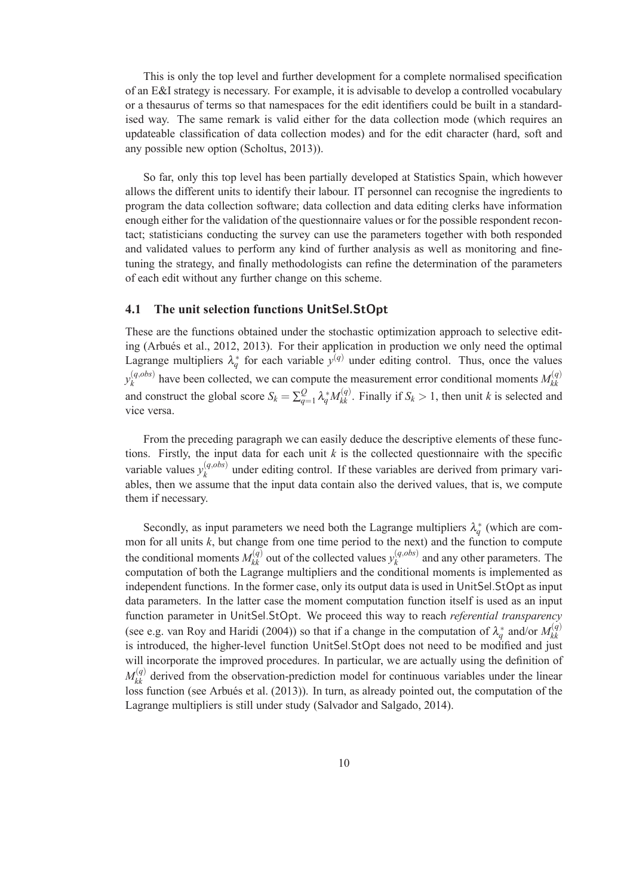This is only the top level and further development for a complete normalised specification of an E&I strategy is necessary. For example, it is advisable to develop a controlled vocabulary or a thesaurus of terms so that namespaces for the edit identifiers could be built in a standardised way. The same remark is valid either for the data collection mode (which requires an updateable classification of data collection modes) and for the edit character (hard, soft and any possible new option (Scholtus, 2013)).

So far, only this top level has been partially developed at Statistics Spain, which however allows the different units to identify their labour. IT personnel can recognise the ingredients to program the data collection software; data collection and data editing clerks have information enough either for the validation of the questionnaire values or for the possible respondent recontact; statisticians conducting the survey can use the parameters together with both responded and validated values to perform any kind of further analysis as well as monitoring and finetuning the strategy, and finally methodologists can refine the determination of the parameters of each edit without any further change on this scheme.

#### **4.1 The unit selection functions** UnitSel.StOpt

These are the functions obtained under the stochastic optimization approach to selective editing (Arbués et al., 2012, 2013). For their application in production we only need the optimal Lagrange multipliers  $\lambda_q^*$  for each variable  $y^{(q)}$  under editing control. Thus, once the values  $y_k^{(q,obs)}$  $h_k^{(q,obs)}$  have been collected, we can compute the measurement error conditional moments  $M_{kk}^{(q)}$ *kk* and construct the global score  $S_k = \sum_{q_k}^Q S_q$  $\frac{Q}{q=1} \lambda_q^* M_{kk}^{(q)}$ . Finally if  $S_k > 1$ , then unit *k* is selected and vice versa.

From the preceding paragraph we can easily deduce the descriptive elements of these functions. Firstly, the input data for each unit  $k$  is the collected questionnaire with the specific variable values  $y_k^{(q,obs)}$  $\frac{u_{k}}{k}$  under editing control. If these variables are derived from primary variables, then we assume that the input data contain also the derived values, that is, we compute them if necessary.

Secondly, as input parameters we need both the Lagrange multipliers  $\lambda_q^*$  (which are common for all units *k*, but change from one time period to the next) and the function to compute the conditional moments  $M_{kk}^{(q)}$  out of the collected values  $y_k^{(q,obs)}$  $\binom{(q,obs)}{k}$  and any other parameters. The computation of both the Lagrange multipliers and the conditional moments is implemented as independent functions. In the former case, only its output data is used in UnitSel.StOpt as input data parameters. In the latter case the moment computation function itself is used as an input function parameter in UnitSel.StOpt. We proceed this way to reach *referential transparency* (see e.g. van Roy and Haridi (2004)) so that if a change in the computation of  $\lambda_q^*$  and/or  $M_{kk}^{(q)}$ *kk* is introduced, the higher-level function UnitSel.StOpt does not need to be modified and just will incorporate the improved procedures. In particular, we are actually using the definition of  $M_{kk}^{(q)}$  derived from the observation-prediction model for continuous variables under the linear loss function (see Arbués et al. (2013)). In turn, as already pointed out, the computation of the Lagrange multipliers is still under study (Salvador and Salgado, 2014).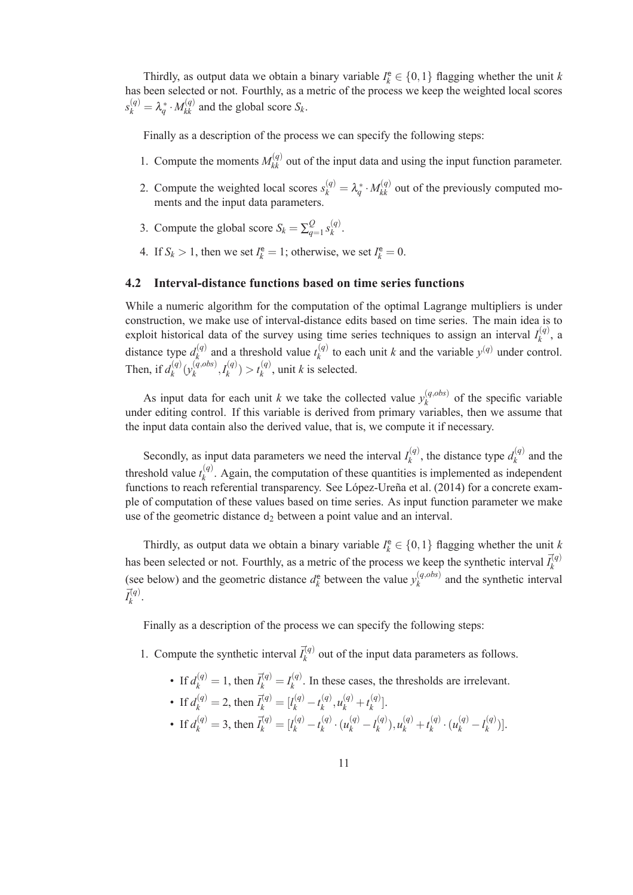Thirdly, as output data we obtain a binary variable  $I_k^e \in \{0, 1\}$  flagging whether the unit *k* has been selected or not. Fourthly, as a metric of the process we keep the weighted local scores  $s_k^{(q)} = \lambda_q^* \cdot M_{kk}^{(q)}$  and the global score  $S_k$ .

Finally as a description of the process we can specify the following steps:

- 1. Compute the moments  $M_{kk}^{(q)}$  out of the input data and using the input function parameter.
- 2. Compute the weighted local scores  $s_k^{(q)} = \lambda_q^* \cdot M_{kk}^{(q)}$  out of the previously computed moments and the input data parameters.
- 3. Compute the global score  $S_k = \sum_{q=1}^{k} S_q$  $Q_{q=1} s_k^{(q)}$ *k* .
- 4. If  $S_k > 1$ , then we set  $I_k^e = 1$ ; otherwise, we set  $I_k^e = 0$ .

#### **4.2 Interval-distance functions based on time series functions**

While a numeric algorithm for the computation of the optimal Lagrange multipliers is under construction, we make use of interval-distance edits based on time series. The main idea is to exploit historical data of the survey using time series techniques to assign an interval  $I_k^{(q)}$  $\binom{q}{k}$ , a distance type  $d_k^{(q)}$  $a_k^{(q)}$  and a threshold value  $t_k^{(q)}$  $k_k^{(q)}$  to each unit *k* and the variable  $y^{(q)}$  under control. Then, if  $d_k^{(q)}$  $\mathcal{L}_{k}^{(q)}(\mathcal{Y}_{k}^{(q,obs)})$  $\binom{(q,obs)}{k}, I_k^{(q)}$  $t_k^{(q)}$  >  $t_k^{(q)}$  $\binom{q}{k}$ , unit *k* is selected.

As input data for each unit *k* we take the collected value  $y_k^{(q, obs)}$  $\kappa^{(q,obs)}$  of the specific variable under editing control. If this variable is derived from primary variables, then we assume that the input data contain also the derived value, that is, we compute it if necessary.

Secondly, as input data parameters we need the interval  $I_k^{(q)}$  $a_k^{(q)}$ , the distance type  $d_k^{(q)}$  $\binom{q}{k}$  and the threshold value  $t_k^{(q)}$  $k_k^{(q)}$ . Again, the computation of these quantities is implemented as independent functions to reach referential transparency. See López-Ureña et al. (2014) for a concrete example of computation of these values based on time series. As input function parameter we make use of the geometric distance  $d_2$  between a point value and an interval.

Thirdly, as output data we obtain a binary variable  $I_k^e \in \{0, 1\}$  flagging whether the unit *k* has been selected or not. Fourthly, as a metric of the process we keep the synthetic interval  $\vec{I}_k^{(q)}$ *k* (see below) and the geometric distance  $d_k^e$  $\chi_k^{\text{e}}$  between the value  $y_k^{(q,obs)}$  $\binom{q,obs}{k}$  and the synthetic interval  $\vec{I_k^{(q)}}$ *k* .

Finally as a description of the process we can specify the following steps:

- 1. Compute the synthetic interval  $\bar{I}_k^{(q)}$  $\chi_k^{(q)}$  out of the input data parameters as follows.
	- If  $d_k^{(q)} = 1$ , then  $\bar{I}_k^{(q)} = I_k^{(q)}$  $\frac{f(Y)}{k}$ . In these cases, the thresholds are irrelevant.
	- If  $d_k^{(q)} = 2$ , then  $\bar{I}_k^{(q)} = [l_k^{(q)} t_k^{(q)}]$  $u_k^{(q)}$ ,  $u_k^{(q)} + t_k^{(q)}$  $\binom{(q)}{k}$ .
	- If  $d_k^{(q)} = 3$ , then  $\bar{I}_k^{(q)} = [l_k^{(q)} t_k^{(q)}]$  $\chi_k^{(q)} \cdot (u_k^{(q)} - l_k^{(q)})$  $u_k^{(q)}$ ,  $u_k^{(q)}$  +  $t_k^{(q)}$  $\chi_k^{(q)} \cdot (u_k^{(q)} - l_k^{(q)})$  ${k^{(q)}}$ ].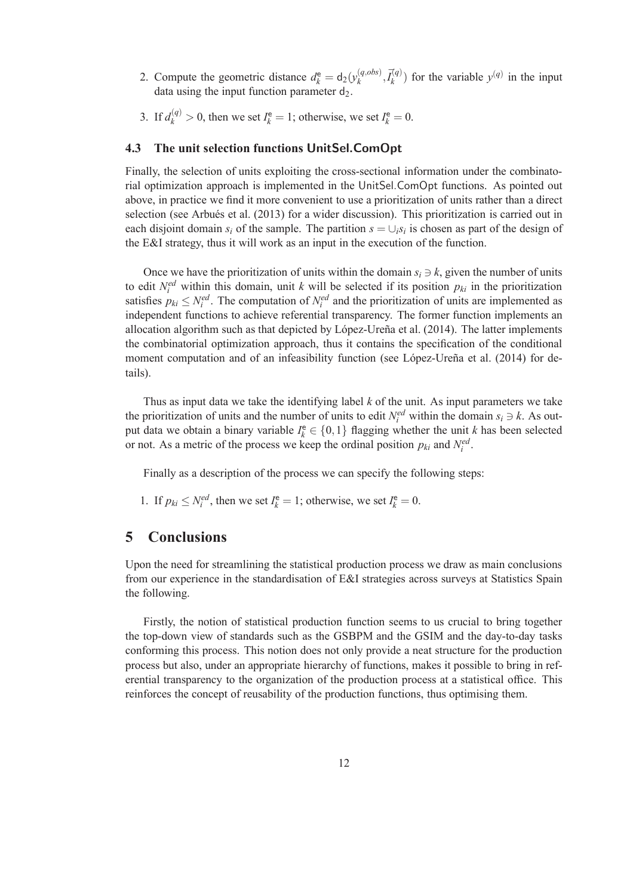- 2. Compute the geometric distance  $d_k^e = d_2(y_k^{(q, obs)})$  $\bar{I}_k^{(q,obs)}$ ,  $\bar{I}_k^{(q)}$  $\binom{n(q)}{k}$  for the variable  $y^{(q)}$  in the input data using the input function parameter  $d_2$ .
- 3. If  $d_k^{(q)} > 0$ , then we set  $I_k^e = 1$ ; otherwise, we set  $I_k^e = 0$ .

#### **4.3 The unit selection functions** UnitSel.ComOpt

Finally, the selection of units exploiting the cross-sectional information under the combinatorial optimization approach is implemented in the UnitSel.ComOpt functions. As pointed out above, in practice we find it more convenient to use a prioritization of units rather than a direct selection (see Arbués et al. (2013) for a wider discussion). This prioritization is carried out in each disjoint domain  $s_i$  of the sample. The partition  $s = \bigcup_i s_i$  is chosen as part of the design of the E&I strategy, thus it will work as an input in the execution of the function.

Once we have the prioritization of units within the domain  $s_i \ni k$ , given the number of units to edit  $N_i^{ed}$  within this domain, unit *k* will be selected if its position  $p_{ki}$  in the prioritization satisfies  $p_{ki} \leq N_i^{ed}$ . The computation of  $N_i^{ed}$  and the prioritization of units are implemented as independent functions to achieve referential transparency. The former function implements an allocation algorithm such as that depicted by López-Ureña et al.  $(2014)$ . The latter implements the combinatorial optimization approach, thus it contains the specification of the conditional moment computation and of an infeasibility function (see López-Ureña et al. (2014) for details).

Thus as input data we take the identifying label *k* of the unit. As input parameters we take the prioritization of units and the number of units to edit  $N_i^{ed}$  within the domain  $s_i \ni k$ . As output data we obtain a binary variable  $I_k^e \in \{0,1\}$  flagging whether the unit *k* has been selected or not. As a metric of the process we keep the ordinal position  $p_{ki}$  and  $N_i^{ed}$ .

Finally as a description of the process we can specify the following steps:

1. If  $p_{ki} \le N_i^{ed}$ , then we set  $I_k^e = 1$ ; otherwise, we set  $I_k^e = 0$ .

# **5 Conclusions**

Upon the need for streamlining the statistical production process we draw as main conclusions from our experience in the standardisation of E&I strategies across surveys at Statistics Spain the following.

Firstly, the notion of statistical production function seems to us crucial to bring together the top-down view of standards such as the GSBPM and the GSIM and the day-to-day tasks conforming this process. This notion does not only provide a neat structure for the production process but also, under an appropriate hierarchy of functions, makes it possible to bring in referential transparency to the organization of the production process at a statistical office. This reinforces the concept of reusability of the production functions, thus optimising them.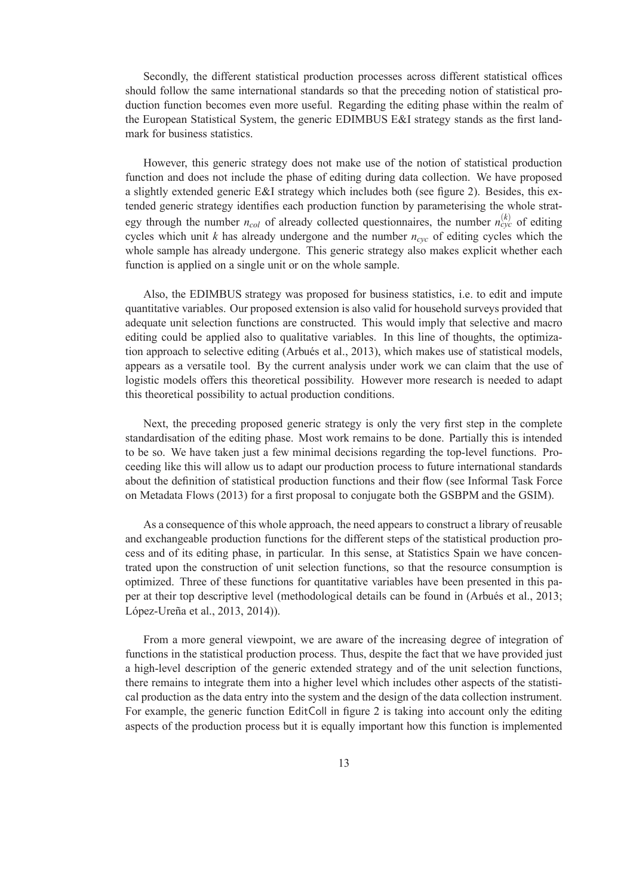Secondly, the different statistical production processes across different statistical offices should follow the same international standards so that the preceding notion of statistical production function becomes even more useful. Regarding the editing phase within the realm of the European Statistical System, the generic EDIMBUS E&I strategy stands as the first landmark for business statistics.

However, this generic strategy does not make use of the notion of statistical production function and does not include the phase of editing during data collection. We have proposed a slightly extended generic E&I strategy which includes both (see figure 2). Besides, this extended generic strategy identifies each production function by parameterising the whole strategy through the number  $n_{col}$  of already collected questionnaires, the number  $n_{cyc}^{(k)}$  of editing cycles which unit *k* has already undergone and the number *ncyc* of editing cycles which the whole sample has already undergone. This generic strategy also makes explicit whether each function is applied on a single unit or on the whole sample.

Also, the EDIMBUS strategy was proposed for business statistics, i.e. to edit and impute quantitative variables. Our proposed extension is also valid for household surveys provided that adequate unit selection functions are constructed. This would imply that selective and macro editing could be applied also to qualitative variables. In this line of thoughts, the optimization approach to selective editing (Arbués et al., 2013), which makes use of statistical models, appears as a versatile tool. By the current analysis under work we can claim that the use of logistic models offers this theoretical possibility. However more research is needed to adapt this theoretical possibility to actual production conditions.

Next, the preceding proposed generic strategy is only the very first step in the complete standardisation of the editing phase. Most work remains to be done. Partially this is intended to be so. We have taken just a few minimal decisions regarding the top-level functions. Proceeding like this will allow us to adapt our production process to future international standards about the definition of statistical production functions and their flow (see Informal Task Force on Metadata Flows (2013) for a first proposal to conjugate both the GSBPM and the GSIM).

As a consequence of this whole approach, the need appears to construct a library of reusable and exchangeable production functions for the different steps of the statistical production process and of its editing phase, in particular. In this sense, at Statistics Spain we have concentrated upon the construction of unit selection functions, so that the resource consumption is optimized. Three of these functions for quantitative variables have been presented in this paper at their top descriptive level (methodological details can be found in (Arbués et al., 2013; López-Ureña et al., 2013, 2014)).

From a more general viewpoint, we are aware of the increasing degree of integration of functions in the statistical production process. Thus, despite the fact that we have provided just a high-level description of the generic extended strategy and of the unit selection functions, there remains to integrate them into a higher level which includes other aspects of the statistical production as the data entry into the system and the design of the data collection instrument. For example, the generic function EditColl in figure 2 is taking into account only the editing aspects of the production process but it is equally important how this function is implemented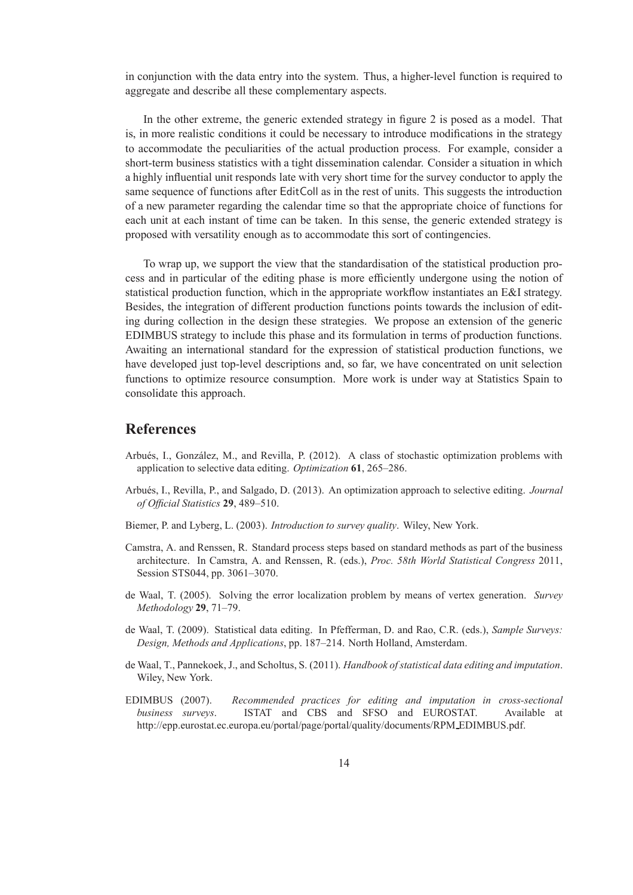in conjunction with the data entry into the system. Thus, a higher-level function is required to aggregate and describe all these complementary aspects.

In the other extreme, the generic extended strategy in figure 2 is posed as a model. That is, in more realistic conditions it could be necessary to introduce modifications in the strategy to accommodate the peculiarities of the actual production process. For example, consider a short-term business statistics with a tight dissemination calendar. Consider a situation in which a highly influential unit responds late with very short time for the survey conductor to apply the same sequence of functions after EditColl as in the rest of units. This suggests the introduction of a new parameter regarding the calendar time so that the appropriate choice of functions for each unit at each instant of time can be taken. In this sense, the generic extended strategy is proposed with versatility enough as to accommodate this sort of contingencies.

To wrap up, we support the view that the standardisation of the statistical production process and in particular of the editing phase is more efficiently undergone using the notion of statistical production function, which in the appropriate workflow instantiates an E&I strategy. Besides, the integration of different production functions points towards the inclusion of editing during collection in the design these strategies. We propose an extension of the generic EDIMBUS strategy to include this phase and its formulation in terms of production functions. Awaiting an international standard for the expression of statistical production functions, we have developed just top-level descriptions and, so far, we have concentrated on unit selection functions to optimize resource consumption. More work is under way at Statistics Spain to consolidate this approach.

## **References**

- Arbués, I., González, M., and Revilla, P. (2012). A class of stochastic optimization problems with application to selective data editing. *Optimization* **61**, 265–286.
- Arbu´es, I., Revilla, P., and Salgado, D. (2013). An optimization approach to selective editing. *Journal of Official Statistics* **29**, 489–510.
- Biemer, P. and Lyberg, L. (2003). *Introduction to survey quality*. Wiley, New York.
- Camstra, A. and Renssen, R. Standard process steps based on standard methods as part of the business architecture. In Camstra, A. and Renssen, R. (eds.), *Proc. 58th World Statistical Congress* 2011, Session STS044, pp. 3061–3070.
- de Waal, T. (2005). Solving the error localization problem by means of vertex generation. *Survey Methodology* **29**, 71–79.
- de Waal, T. (2009). Statistical data editing. In Pfefferman, D. and Rao, C.R. (eds.), *Sample Surveys: Design, Methods and Applications*, pp. 187–214. North Holland, Amsterdam.
- de Waal, T., Pannekoek, J., and Scholtus, S. (2011). *Handbook of statistical data editing and imputation*. Wiley, New York.
- EDIMBUS (2007). *Recommended practices for editing and imputation in cross-sectional business surveys*. ISTAT and CBS and SFSO and EUROSTAT. Available at http://epp.eurostat.ec.europa.eu/portal/page/portal/quality/documents/RPM EDIMBUS.pdf.